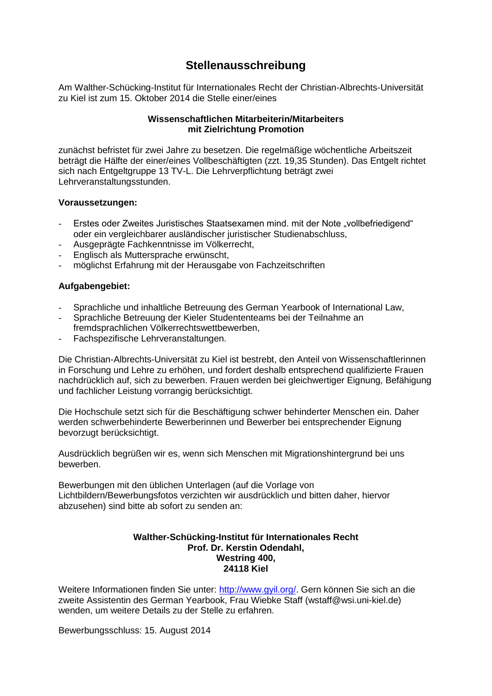# **Stellenausschreibung**

Am Walther-Schücking-Institut für Internationales Recht der Christian-Albrechts-Universität zu Kiel ist zum 15. Oktober 2014 die Stelle einer/eines

## **Wissenschaftlichen Mitarbeiterin/Mitarbeiters mit Zielrichtung Promotion**

zunächst befristet für zwei Jahre zu besetzen. Die regelmäßige wöchentliche Arbeitszeit beträgt die Hälfte der einer/eines Vollbeschäftigten (zzt. 19,35 Stunden). Das Entgelt richtet sich nach Entgeltgruppe 13 TV-L. Die Lehrverpflichtung beträgt zwei Lehrveranstaltungsstunden.

### **Voraussetzungen:**

- Erstes oder Zweites Juristisches Staatsexamen mind. mit der Note "vollbefriedigend" oder ein vergleichbarer ausländischer juristischer Studienabschluss,
- Ausgeprägte Fachkenntnisse im Völkerrecht,
- Englisch als Muttersprache erwünscht,
- möglichst Erfahrung mit der Herausgabe von Fachzeitschriften

# **Aufgabengebiet:**

- Sprachliche und inhaltliche Betreuung des German Yearbook of International Law,
- Sprachliche Betreuung der Kieler Studententeams bei der Teilnahme an fremdsprachlichen Völkerrechtswettbewerben,
- Fachspezifische Lehrveranstaltungen.

Die Christian-Albrechts-Universität zu Kiel ist bestrebt, den Anteil von Wissenschaftlerinnen in Forschung und Lehre zu erhöhen, und fordert deshalb entsprechend qualifizierte Frauen nachdrücklich auf, sich zu bewerben. Frauen werden bei gleichwertiger Eignung, Befähigung und fachlicher Leistung vorrangig berücksichtigt.

Die Hochschule setzt sich für die Beschäftigung schwer behinderter Menschen ein. Daher werden schwerbehinderte Bewerberinnen und Bewerber bei entsprechender Eignung bevorzugt berücksichtigt.

Ausdrücklich begrüßen wir es, wenn sich Menschen mit Migrationshintergrund bei uns bewerben.

Bewerbungen mit den üblichen Unterlagen (auf die Vorlage von Lichtbildern/Bewerbungsfotos verzichten wir ausdrücklich und bitten daher, hiervor abzusehen) sind bitte ab sofort zu senden an:

#### **Walther-Schücking-Institut für Internationales Recht Prof. Dr. Kerstin Odendahl, Westring 400, 24118 Kiel**

Weitere Informationen finden Sie unter: [http://www.gyil.org/.](http://www.gyil.org/) Gern können Sie sich an die zweite Assistentin des German Yearbook, Frau Wiebke Staff (wstaff@wsi.uni-kiel.de) wenden, um weitere Details zu der Stelle zu erfahren.

Bewerbungsschluss: 15. August 2014